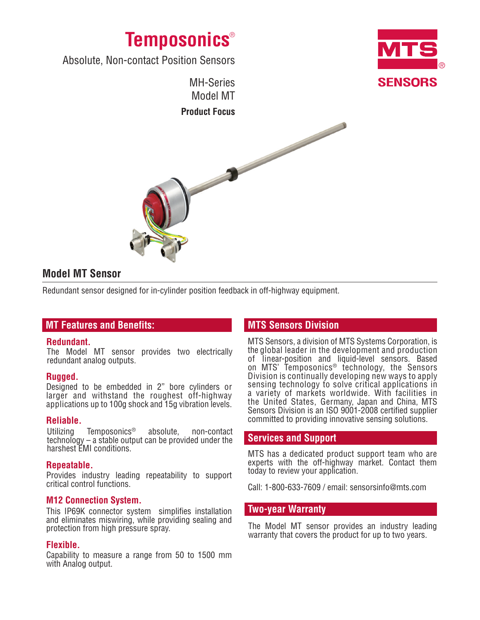



Absolute, Non-contact Position Sensors



# **Model MT Sensor**

Redundant sensor designed for in-cylinder position feedback in off-highway equipment.

## **MT Features and Benefits:**

## **Redundant.**

The Model MT sensor provides two electrically redundant analog outputs.

## **Rugged.**

Designed to be embedded in 2" bore cylinders or larger and withstand the roughest off-highway applications up to 100g shock and 15g vibration levels.

### **Reliable.**

Utilizing Temposonics® absolute, non-contact technology – a stable output can be provided under the harshest EMI conditions.

## **Repeatable.**

Provides industry leading repeatability to support critical control functions.

## **M12 Connection System.**

This IP69K connector system simplifies installation and eliminates miswiring, while providing sealing and protection from high pressure spray.

## **Flexible.**

Capability to measure a range from 50 to 1500 mm with Analog output.

# **MTS Sensors Division**

MTS Sensors, a division of MTS Systems Corporation, is the global leader in the development and production of linear-position and liquid-level sensors. Based on MTS' Temposonics® technology, the Sensors Division is continually developing new ways to apply sensing technology to solve critical applications in a variety of markets worldwide. With facilities in the United States, Germany, Japan and China, MTS Sensors Division is an ISO 9001-2008 certified supplier committed to providing innovative sensing solutions.

## **Services and Support**

MTS has a dedicated product support team who are experts with the off-highway market. Contact them today to review your application.

Call: 1-800-633-7609 / email: sensorsinfo@mts.com

## **Two-year Warranty**

The Model MT sensor provides an industry leading warranty that covers the product for up to two years.